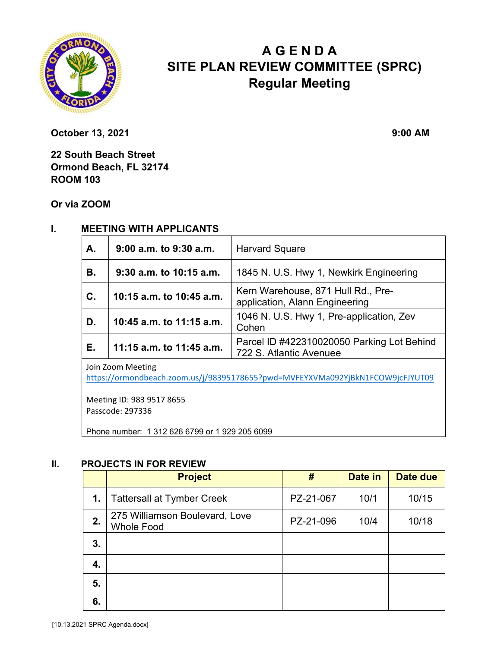

# **A G E N D A SITE PLAN REVIEW COMMITTEE (SPRC) Regular Meeting**

**October 13, 2021** 9:00 AM

**22 South Beach Street Ormond Beach, FL 32174 ROOM 103** 

**Or via ZOOM**

### **I. MEETING WITH APPLICANTS**

| A.             | 9:00 a.m. to 9:30 a.m.   | <b>Harvard Square</b>                                                 |  |  |
|----------------|--------------------------|-----------------------------------------------------------------------|--|--|
| <b>B.</b>      | 9:30 a.m. to 10:15 a.m.  | 1845 N. U.S. Hwy 1, Newkirk Engineering                               |  |  |
| $\mathbf{C}$ . | 10:15 a.m. to 10:45 a.m. | Kern Warehouse, 871 Hull Rd., Pre-<br>application, Alann Engineering  |  |  |
| D.             | 10:45 a.m. to 11:15 a.m. | 1046 N. U.S. Hwy 1, Pre-application, Zev<br>Cohen                     |  |  |
| E.             | 11:15 a.m. to 11:45 a.m. | Parcel ID #422310020050 Parking Lot Behind<br>722 S. Atlantic Avenuee |  |  |
|                |                          |                                                                       |  |  |

Join Zoom Meeting

https://ormondbeach.zoom.us/j/98395178655?pwd=MVFEYXVMa092YjBkN1FCOW9jcFJYUT09

Meeting ID: 983 9517 8655 Passcode: 297336

Phone number: 1 312 626 6799 or 1 929 205 6099

#### **II. PROJECTS IN FOR REVIEW**

|    | <b>Project</b>                                      | #         | Date in | Date due |
|----|-----------------------------------------------------|-----------|---------|----------|
| 1. | <b>Tattersall at Tymber Creek</b>                   | PZ-21-067 | 10/1    | 10/15    |
| 2. | 275 Williamson Boulevard, Love<br><b>Whole Food</b> | PZ-21-096 | 10/4    | 10/18    |
| 3. |                                                     |           |         |          |
| 4. |                                                     |           |         |          |
| 5. |                                                     |           |         |          |
| 6. |                                                     |           |         |          |